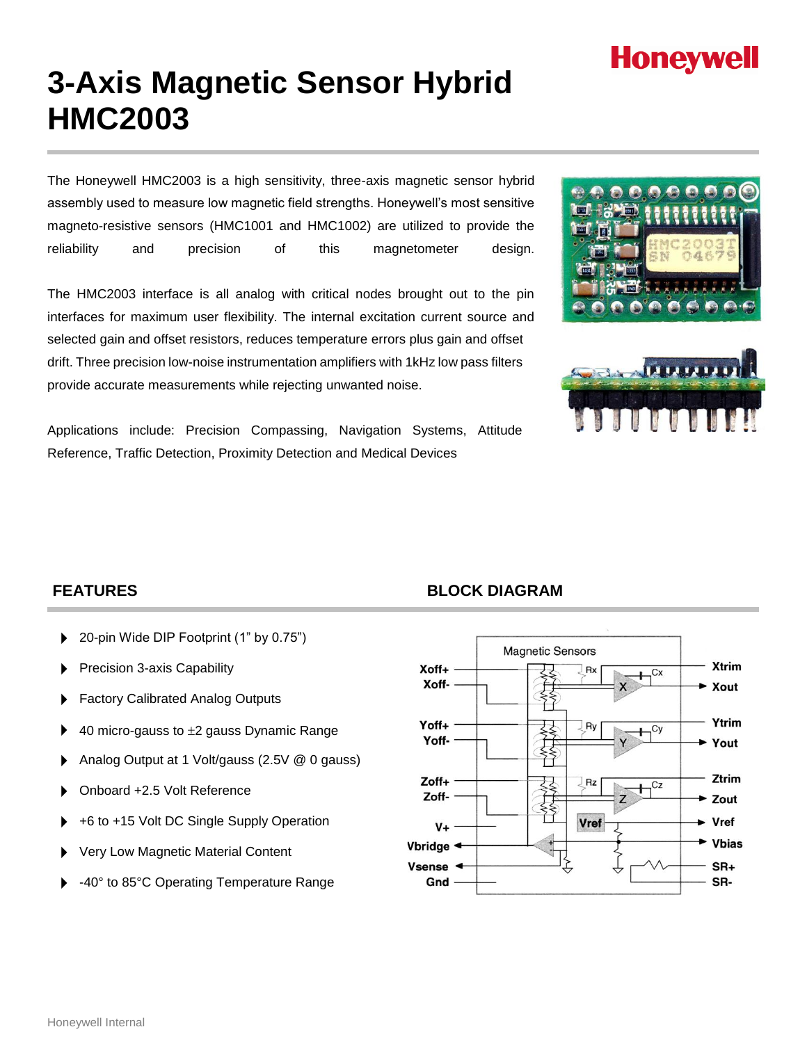# **Honeywell**

# **3-Axis Magnetic Sensor Hybrid HMC2003**

The Honeywell HMC2003 is a high sensitivity, three-axis magnetic sensor hybrid assembly used to measure low magnetic field strengths. Honeywell's most sensitive magneto-resistive sensors (HMC1001 and HMC1002) are utilized to provide the reliability and precision of this magnetometer design.

The HMC2003 interface is all analog with critical nodes brought out to the pin interfaces for maximum user flexibility. The internal excitation current source and selected gain and offset resistors, reduces temperature errors plus gain and offset drift. Three precision low-noise instrumentation amplifiers with 1kHz low pass filters provide accurate measurements while rejecting unwanted noise.

Applications include: Precision Compassing, Navigation Systems, Attitude Reference, Traffic Detection, Proximity Detection and Medical Devices





- 20-pin Wide DIP Footprint (1" by 0.75")
- Precision 3-axis Capability
- Factory Calibrated Analog Outputs
- $\blacktriangleright$  40 micro-gauss to  $\pm 2$  gauss Dynamic Range
- Analog Output at 1 Volt/gauss (2.5V @ 0 gauss)
- Onboard +2.5 Volt Reference
- +6 to +15 Volt DC Single Supply Operation
- Very Low Magnetic Material Content
- -40° to 85°C Operating Temperature Range

## **FEATURES BLOCK DIAGRAM**

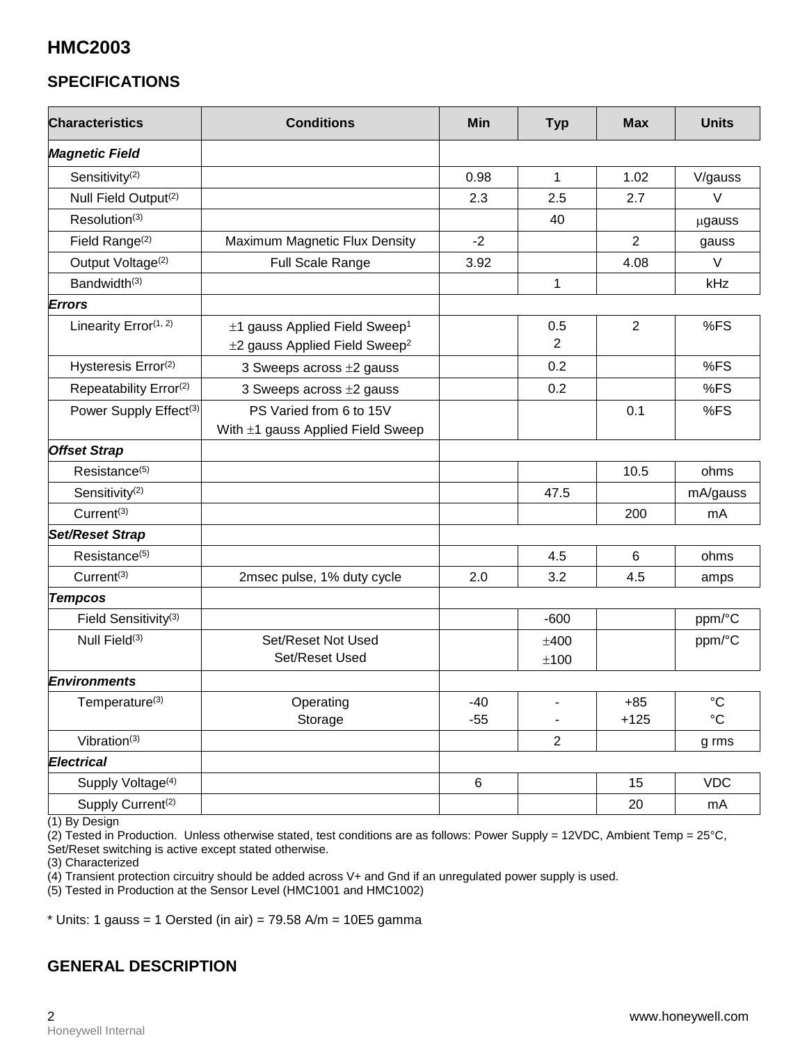# **HMC2003**

# **SPECIFICATIONS**

| <b>Characteristics</b>             | <b>Conditions</b>                                                                                | <b>Min</b>     | <b>Typ</b>     | <b>Max</b>      | <b>Units</b>                       |
|------------------------------------|--------------------------------------------------------------------------------------------------|----------------|----------------|-----------------|------------------------------------|
| <b>Magnetic Field</b>              |                                                                                                  |                |                |                 |                                    |
| Sensitivity <sup>(2)</sup>         |                                                                                                  | 0.98           | 1              | 1.02            | V/gauss                            |
| Null Field Output <sup>(2)</sup>   |                                                                                                  | 2.3            | 2.5            | 2.7             | $\vee$                             |
| Resolution <sup>(3)</sup>          |                                                                                                  |                | 40             |                 | µgauss                             |
| Field Range <sup>(2)</sup>         | Maximum Magnetic Flux Density                                                                    | $-2$           |                | $\overline{2}$  | gauss                              |
| Output Voltage <sup>(2)</sup>      | Full Scale Range                                                                                 | 3.92           |                | 4.08            | V                                  |
| Bandwidth <sup>(3)</sup>           |                                                                                                  |                | 1              |                 | kHz                                |
| <b>Errors</b>                      |                                                                                                  |                |                |                 |                                    |
| Linearity Error(1, 2)              | $\pm$ 1 gauss Applied Field Sweep <sup>1</sup><br>$\pm$ 2 gauss Applied Field Sweep <sup>2</sup> |                | 0.5<br>2       | 2               | %FS                                |
| Hysteresis Error <sup>(2)</sup>    | 3 Sweeps across $\pm 2$ gauss                                                                    |                | 0.2            |                 | %FS                                |
| Repeatability Error <sup>(2)</sup> | 3 Sweeps across ±2 gauss                                                                         |                | 0.2            |                 | %FS                                |
| Power Supply Effect <sup>(3)</sup> | PS Varied from 6 to 15V<br>With ±1 gauss Applied Field Sweep                                     |                |                | 0.1             | %FS                                |
| <b>Offset Strap</b>                |                                                                                                  |                |                |                 |                                    |
| Resistance <sup>(5)</sup>          |                                                                                                  |                |                | 10.5            | ohms                               |
| Sensitivity <sup>(2)</sup>         |                                                                                                  |                | 47.5           |                 | mA/gauss                           |
| Current <sup>(3)</sup>             |                                                                                                  |                |                | 200             | mA                                 |
| Set/Reset Strap                    |                                                                                                  |                |                |                 |                                    |
| Resistance <sup>(5)</sup>          |                                                                                                  |                | 4.5            | 6               | ohms                               |
| Current <sup>(3)</sup>             | 2msec pulse, 1% duty cycle                                                                       | 2.0            | 3.2            | 4.5             | amps                               |
| <b>Tempcos</b>                     |                                                                                                  |                |                |                 |                                    |
| Field Sensitivity <sup>(3)</sup>   |                                                                                                  |                | $-600$         |                 | ppm/°C                             |
| Null Field <sup>(3)</sup>          | Set/Reset Not Used<br>Set/Reset Used                                                             |                | ±400<br>±100   |                 | ppm/°C                             |
| Environments                       |                                                                                                  |                |                |                 |                                    |
| Temperature(3)                     | Operating<br>Storage                                                                             | $-40$<br>$-55$ |                | $+85$<br>$+125$ | $\rm ^{\circ}C$<br>$\rm ^{\circ}C$ |
| Vibration <sup>(3)</sup>           |                                                                                                  |                | $\overline{2}$ |                 | g rms                              |
| <b>Electrical</b>                  |                                                                                                  |                |                |                 |                                    |
| Supply Voltage <sup>(4)</sup>      |                                                                                                  | $\,6\,$        |                | 15              | <b>VDC</b>                         |
| Supply Current <sup>(2)</sup>      |                                                                                                  |                |                | 20              | mA                                 |

(1) By Design

 $(2)$  Tested in Production. Unless otherwise stated, test conditions are as follows: Power Supply = 12VDC, Ambient Temp = 25°C, Set/Reset switching is active except stated otherwise.

(3) Characterized

(4) Transient protection circuitry should be added across V+ and Gnd if an unregulated power supply is used.

(5) Tested in Production at the Sensor Level (HMC1001 and HMC1002)

 $*$  Units: 1 gauss = 1 Oersted (in air) = 79.58 A/m = 10E5 gamma

# **GENERAL DESCRIPTION**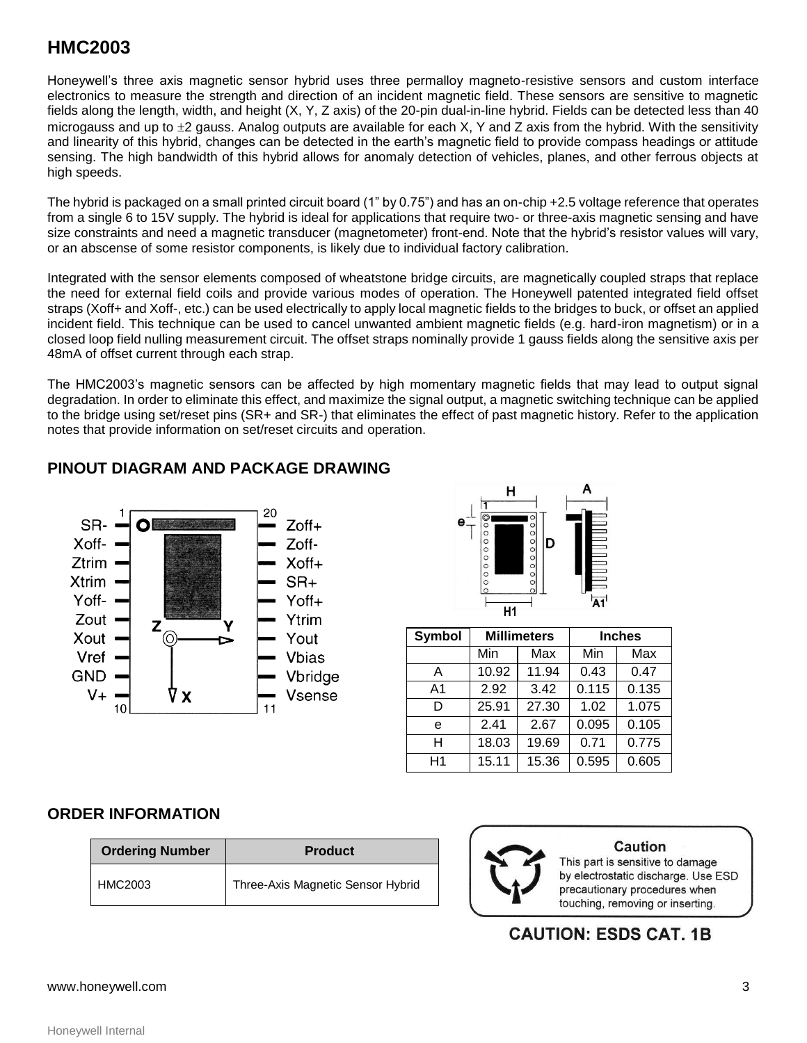# **HMC2003**

Honeywell's three axis magnetic sensor hybrid uses three permalloy magneto-resistive sensors and custom interface electronics to measure the strength and direction of an incident magnetic field. These sensors are sensitive to magnetic fields along the length, width, and height (X, Y, Z axis) of the 20-pin dual-in-line hybrid. Fields can be detected less than 40 microgauss and up to  $\pm 2$  gauss. Analog outputs are available for each X, Y and Z axis from the hybrid. With the sensitivity and linearity of this hybrid, changes can be detected in the earth's magnetic field to provide compass headings or attitude sensing. The high bandwidth of this hybrid allows for anomaly detection of vehicles, planes, and other ferrous objects at high speeds.

The hybrid is packaged on a small printed circuit board (1" by 0.75") and has an on-chip +2.5 voltage reference that operates from a single 6 to 15V supply. The hybrid is ideal for applications that require two- or three-axis magnetic sensing and have size constraints and need a magnetic transducer (magnetometer) front-end. Note that the hybrid's resistor values will vary, or an abscense of some resistor components, is likely due to individual factory calibration.

Integrated with the sensor elements composed of wheatstone bridge circuits, are magnetically coupled straps that replace the need for external field coils and provide various modes of operation. The Honeywell patented integrated field offset straps (Xoff+ and Xoff-, etc.) can be used electrically to apply local magnetic fields to the bridges to buck, or offset an applied incident field. This technique can be used to cancel unwanted ambient magnetic fields (e.g. hard-iron magnetism) or in a closed loop field nulling measurement circuit. The offset straps nominally provide 1 gauss fields along the sensitive axis per 48mA of offset current through each strap.

The HMC2003's magnetic sensors can be affected by high momentary magnetic fields that may lead to output signal degradation. In order to eliminate this effect, and maximize the signal output, a magnetic switching technique can be applied to the bridge using set/reset pins (SR+ and SR-) that eliminates the effect of past magnetic history. Refer to the application notes that provide information on set/reset circuits and operation.

## **PINOUT DIAGRAM AND PACKAGE DRAWING**





| Symbol         | <b>Millimeters</b> |       | <b>Inches</b> |       |
|----------------|--------------------|-------|---------------|-------|
|                | Min                | Max   | Min           | Max   |
| Α              | 10.92              | 11.94 | 0.43          | 0.47  |
| A <sub>1</sub> | 2.92               | 3.42  | 0.115         | 0.135 |
| D              | 25.91              | 27.30 | 1.02          | 1.075 |
| e              | 2.41               | 2.67  | 0.095         | 0.105 |
| н              | 18.03              | 19.69 | 0.71          | 0.775 |
| H1             | 15.11              | 15.36 | 0.595         | 0.605 |

#### **ORDER INFORMATION**

| <b>Ordering Number</b> | <b>Product</b>                    |  |  |
|------------------------|-----------------------------------|--|--|
| HMC2003                | Three-Axis Magnetic Sensor Hybrid |  |  |



### **Caution**

This part is sensitive to damage by electrostatic discharge. Use ESD precautionary procedures when touching, removing or inserting.

**CAUTION: ESDS CAT. 1B** 

#### www.honeywell.com 3